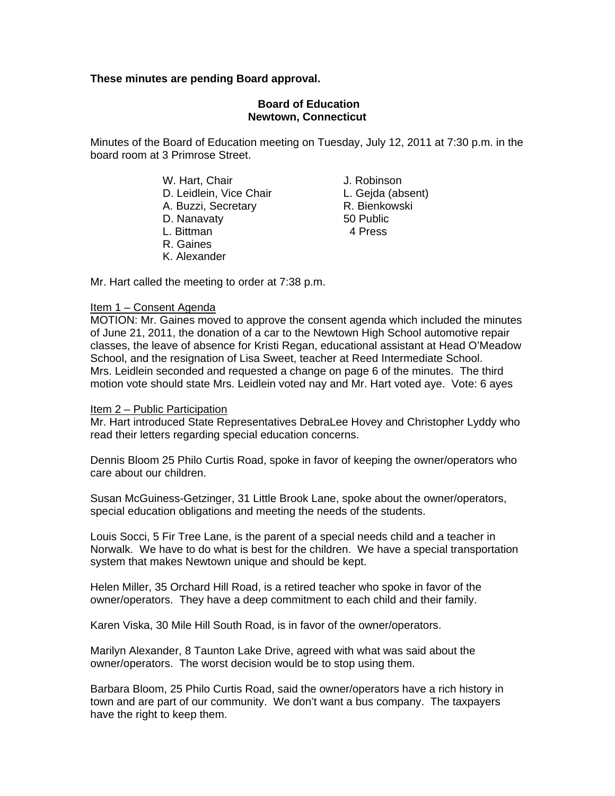# **These minutes are pending Board approval.**

## **Board of Education Newtown, Connecticut**

Minutes of the Board of Education meeting on Tuesday, July 12, 2011 at 7:30 p.m. in the board room at 3 Primrose Street.

> W. Hart, Chair **J. Robinson**  D. Leidlein, Vice Chair L. Gejda (absent) A. Buzzi, Secretary D. Nanavaty 50 Public L. Bittman 4 Press

- R. Gaines
- K. Alexander

Mr. Hart called the meeting to order at 7:38 p.m.

#### Item 1 – Consent Agenda

MOTION: Mr. Gaines moved to approve the consent agenda which included the minutes of June 21, 2011, the donation of a car to the Newtown High School automotive repair classes, the leave of absence for Kristi Regan, educational assistant at Head O'Meadow School, and the resignation of Lisa Sweet, teacher at Reed Intermediate School. Mrs. Leidlein seconded and requested a change on page 6 of the minutes. The third motion vote should state Mrs. Leidlein voted nay and Mr. Hart voted aye. Vote: 6 ayes

## Item 2 – Public Participation

Mr. Hart introduced State Representatives DebraLee Hovey and Christopher Lyddy who read their letters regarding special education concerns.

Dennis Bloom 25 Philo Curtis Road, spoke in favor of keeping the owner/operators who care about our children.

Susan McGuiness-Getzinger, 31 Little Brook Lane, spoke about the owner/operators, special education obligations and meeting the needs of the students.

Louis Socci, 5 Fir Tree Lane, is the parent of a special needs child and a teacher in Norwalk. We have to do what is best for the children. We have a special transportation system that makes Newtown unique and should be kept.

Helen Miller, 35 Orchard Hill Road, is a retired teacher who spoke in favor of the owner/operators. They have a deep commitment to each child and their family.

Karen Viska, 30 Mile Hill South Road, is in favor of the owner/operators.

Marilyn Alexander, 8 Taunton Lake Drive, agreed with what was said about the owner/operators. The worst decision would be to stop using them.

Barbara Bloom, 25 Philo Curtis Road, said the owner/operators have a rich history in town and are part of our community. We don't want a bus company. The taxpayers have the right to keep them.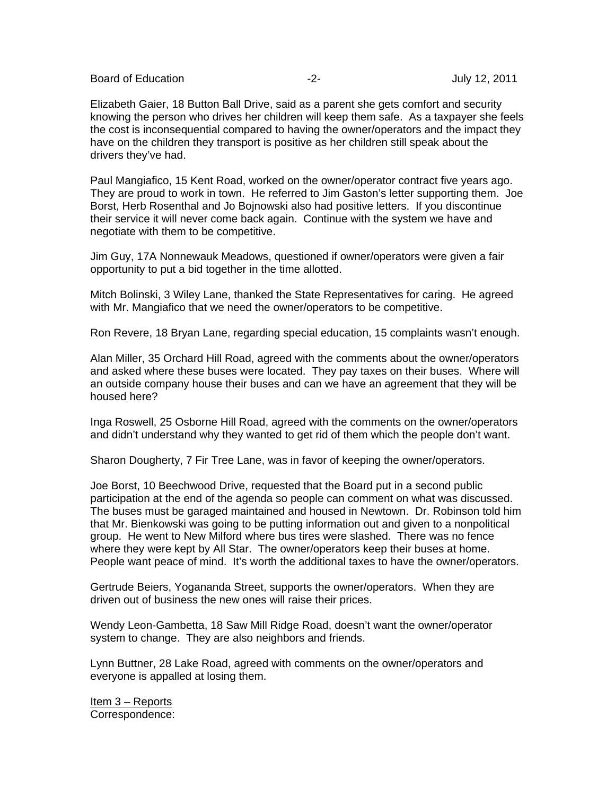Board of Education **-2-** Figure -2- Figure -2- Figure -2- July 12, 2011

Elizabeth Gaier, 18 Button Ball Drive, said as a parent she gets comfort and security knowing the person who drives her children will keep them safe. As a taxpayer she feels the cost is inconsequential compared to having the owner/operators and the impact they have on the children they transport is positive as her children still speak about the drivers they've had.

Paul Mangiafico, 15 Kent Road, worked on the owner/operator contract five years ago. They are proud to work in town. He referred to Jim Gaston's letter supporting them. Joe Borst, Herb Rosenthal and Jo Bojnowski also had positive letters. If you discontinue their service it will never come back again. Continue with the system we have and negotiate with them to be competitive.

Jim Guy, 17A Nonnewauk Meadows, questioned if owner/operators were given a fair opportunity to put a bid together in the time allotted.

Mitch Bolinski, 3 Wiley Lane, thanked the State Representatives for caring. He agreed with Mr. Mangiafico that we need the owner/operators to be competitive.

Ron Revere, 18 Bryan Lane, regarding special education, 15 complaints wasn't enough.

Alan Miller, 35 Orchard Hill Road, agreed with the comments about the owner/operators and asked where these buses were located. They pay taxes on their buses. Where will an outside company house their buses and can we have an agreement that they will be housed here?

Inga Roswell, 25 Osborne Hill Road, agreed with the comments on the owner/operators and didn't understand why they wanted to get rid of them which the people don't want.

Sharon Dougherty, 7 Fir Tree Lane, was in favor of keeping the owner/operators.

Joe Borst, 10 Beechwood Drive, requested that the Board put in a second public participation at the end of the agenda so people can comment on what was discussed. The buses must be garaged maintained and housed in Newtown. Dr. Robinson told him that Mr. Bienkowski was going to be putting information out and given to a nonpolitical group. He went to New Milford where bus tires were slashed. There was no fence where they were kept by All Star. The owner/operators keep their buses at home. People want peace of mind. It's worth the additional taxes to have the owner/operators.

Gertrude Beiers, Yogananda Street, supports the owner/operators. When they are driven out of business the new ones will raise their prices.

Wendy Leon-Gambetta, 18 Saw Mill Ridge Road, doesn't want the owner/operator system to change. They are also neighbors and friends.

Lynn Buttner, 28 Lake Road, agreed with comments on the owner/operators and everyone is appalled at losing them.

Item 3 – Reports Correspondence: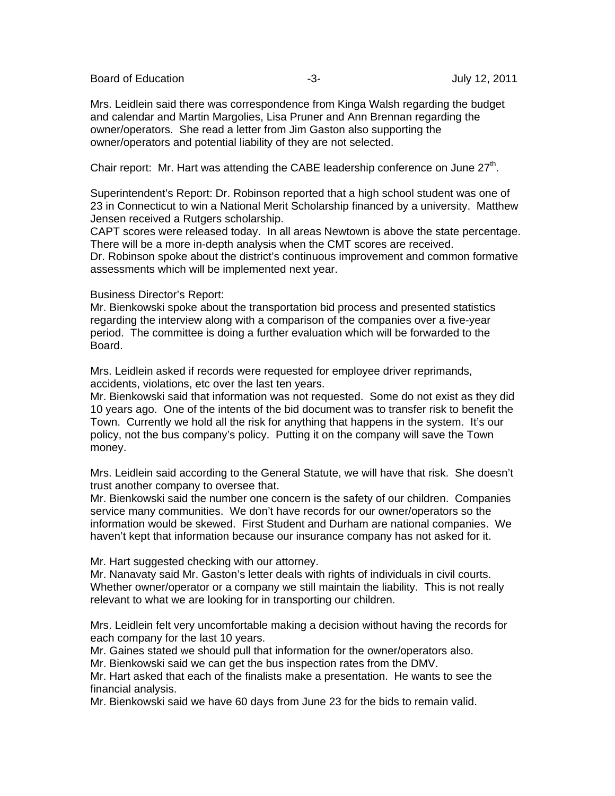Board of Education **-3-** Figure -3- Figure -3- Figure -3- July 12, 2011

Mrs. Leidlein said there was correspondence from Kinga Walsh regarding the budget and calendar and Martin Margolies, Lisa Pruner and Ann Brennan regarding the owner/operators. She read a letter from Jim Gaston also supporting the owner/operators and potential liability of they are not selected.

Chair report: Mr. Hart was attending the CABE leadership conference on June  $27<sup>th</sup>$ .

Superintendent's Report: Dr. Robinson reported that a high school student was one of 23 in Connecticut to win a National Merit Scholarship financed by a university. Matthew Jensen received a Rutgers scholarship.

CAPT scores were released today. In all areas Newtown is above the state percentage. There will be a more in-depth analysis when the CMT scores are received.

Dr. Robinson spoke about the district's continuous improvement and common formative assessments which will be implemented next year.

## Business Director's Report:

Mr. Bienkowski spoke about the transportation bid process and presented statistics regarding the interview along with a comparison of the companies over a five-year period. The committee is doing a further evaluation which will be forwarded to the Board.

Mrs. Leidlein asked if records were requested for employee driver reprimands, accidents, violations, etc over the last ten years.

Mr. Bienkowski said that information was not requested. Some do not exist as they did 10 years ago. One of the intents of the bid document was to transfer risk to benefit the Town. Currently we hold all the risk for anything that happens in the system. It's our policy, not the bus company's policy. Putting it on the company will save the Town money.

Mrs. Leidlein said according to the General Statute, we will have that risk. She doesn't trust another company to oversee that.

Mr. Bienkowski said the number one concern is the safety of our children. Companies service many communities. We don't have records for our owner/operators so the information would be skewed. First Student and Durham are national companies. We haven't kept that information because our insurance company has not asked for it.

Mr. Hart suggested checking with our attorney.

Mr. Nanavaty said Mr. Gaston's letter deals with rights of individuals in civil courts. Whether owner/operator or a company we still maintain the liability. This is not really relevant to what we are looking for in transporting our children.

Mrs. Leidlein felt very uncomfortable making a decision without having the records for each company for the last 10 years.

Mr. Gaines stated we should pull that information for the owner/operators also.

Mr. Bienkowski said we can get the bus inspection rates from the DMV.

Mr. Hart asked that each of the finalists make a presentation. He wants to see the financial analysis.

Mr. Bienkowski said we have 60 days from June 23 for the bids to remain valid.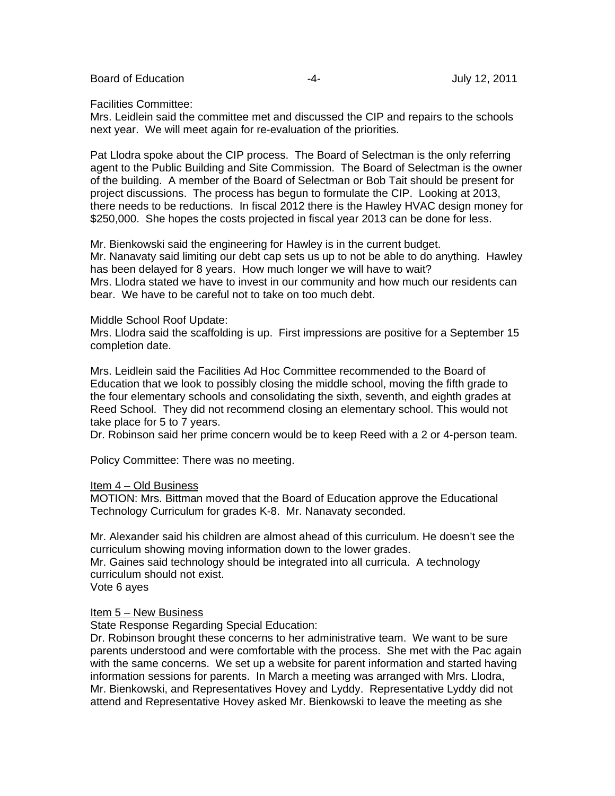Board of Education **-4-** Figure 2011 **-4-** Figure 2011

#### Facilities Committee:

Mrs. Leidlein said the committee met and discussed the CIP and repairs to the schools next year. We will meet again for re-evaluation of the priorities.

Pat Llodra spoke about the CIP process. The Board of Selectman is the only referring agent to the Public Building and Site Commission. The Board of Selectman is the owner of the building. A member of the Board of Selectman or Bob Tait should be present for project discussions. The process has begun to formulate the CIP. Looking at 2013, there needs to be reductions. In fiscal 2012 there is the Hawley HVAC design money for \$250,000. She hopes the costs projected in fiscal year 2013 can be done for less.

Mr. Bienkowski said the engineering for Hawley is in the current budget. Mr. Nanavaty said limiting our debt cap sets us up to not be able to do anything. Hawley has been delayed for 8 years. How much longer we will have to wait? Mrs. Llodra stated we have to invest in our community and how much our residents can bear. We have to be careful not to take on too much debt.

## Middle School Roof Update:

Mrs. Llodra said the scaffolding is up. First impressions are positive for a September 15 completion date.

Mrs. Leidlein said the Facilities Ad Hoc Committee recommended to the Board of Education that we look to possibly closing the middle school, moving the fifth grade to the four elementary schools and consolidating the sixth, seventh, and eighth grades at Reed School. They did not recommend closing an elementary school. This would not take place for 5 to 7 years.

Dr. Robinson said her prime concern would be to keep Reed with a 2 or 4-person team.

Policy Committee: There was no meeting.

## Item 4 – Old Business

MOTION: Mrs. Bittman moved that the Board of Education approve the Educational Technology Curriculum for grades K-8. Mr. Nanavaty seconded.

Mr. Alexander said his children are almost ahead of this curriculum. He doesn't see the curriculum showing moving information down to the lower grades. Mr. Gaines said technology should be integrated into all curricula. A technology curriculum should not exist.

Vote 6 ayes

## Item 5 – New Business

State Response Regarding Special Education:

Dr. Robinson brought these concerns to her administrative team. We want to be sure parents understood and were comfortable with the process. She met with the Pac again with the same concerns. We set up a website for parent information and started having information sessions for parents. In March a meeting was arranged with Mrs. Llodra, Mr. Bienkowski, and Representatives Hovey and Lyddy. Representative Lyddy did not attend and Representative Hovey asked Mr. Bienkowski to leave the meeting as she